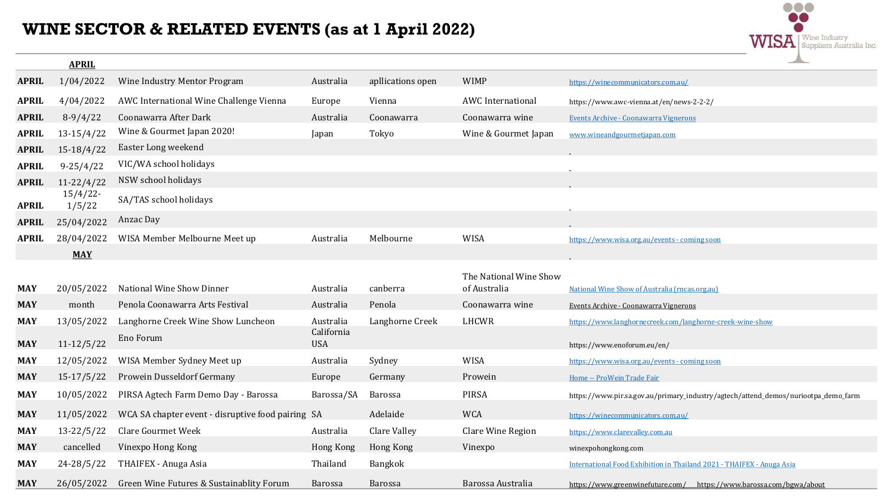## **WINE SECTOR & RELATED EVENTS (as at 1 April 2022)**

|              | <b>APRIL</b>          |                                                   |                          |                   |                                        | $\overline{\phantom{a}}$                                                           |
|--------------|-----------------------|---------------------------------------------------|--------------------------|-------------------|----------------------------------------|------------------------------------------------------------------------------------|
| <b>APRIL</b> | 1/04/2022             | Wine Industry Mentor Program                      | Australia                | apllications open | <b>WIMP</b>                            | https://winecommunicators.com.au/                                                  |
| <b>APRIL</b> | 4/04/2022             | AWC International Wine Challenge Vienna           | Europe                   | Vienna            | <b>AWC</b> International               | https://www.awc-vienna.at/en/news-2-2-2/                                           |
| <b>APRIL</b> | $8-9/4/22$            | Coonawarra After Dark                             | Australia                | Coonawarra        | Coonawarra wine                        | Events Archive - Coonawarra Vignerons                                              |
| <b>APRIL</b> | $13-15/4/22$          | Wine & Gourmet Japan 2020!                        | Japan                    | Tokyo             | Wine & Gourmet Japan                   | www.wineandgourmetjapan.com                                                        |
| <b>APRIL</b> | $15-18/4/22$          | Easter Long weekend                               |                          |                   |                                        |                                                                                    |
| <b>APRIL</b> | $9 - 25/4/22$         | VIC/WA school holidays                            |                          |                   |                                        |                                                                                    |
| <b>APRIL</b> | $11 - 22/4/22$        | NSW school holidays                               |                          |                   |                                        |                                                                                    |
| <b>APRIL</b> | $15/4/22$ -<br>1/5/22 | SA/TAS school holidays                            |                          |                   |                                        |                                                                                    |
| <b>APRIL</b> | 25/04/2022            | Anzac Day                                         |                          |                   |                                        |                                                                                    |
| <b>APRIL</b> | 28/04/2022            | WISA Member Melbourne Meet up                     | Australia                | Melbourne         | <b>WISA</b>                            | https://www.wisa.org.au/events - coming soon                                       |
|              | <b>MAY</b>            |                                                   |                          |                   |                                        |                                                                                    |
|              |                       |                                                   |                          |                   |                                        |                                                                                    |
| <b>MAY</b>   | 20/05/2022            | National Wine Show Dinner                         | Australia                | canberra          | The National Wine Show<br>of Australia | National Wine Show of Australia (rncas.org.au)                                     |
| <b>MAY</b>   | month                 | Penola Coonawarra Arts Festival                   | Australia                | Penola            | Coonawarra wine                        | Events Archive - Coonawarra Vignerons                                              |
| <b>MAY</b>   | 13/05/2022            | Langhorne Creek Wine Show Luncheon                | Australia                | Langhorne Creek   | LHCWR                                  | https://www.langhornecreek.com/langhorne-creek-wine-show                           |
| <b>MAY</b>   | $11 - 12/5/22$        | Eno Forum                                         | California<br><b>USA</b> |                   |                                        | https://www.enoforum.eu/en/                                                        |
| <b>MAY</b>   | 12/05/2022            | WISA Member Sydney Meet up                        | Australia                | Sydney            | <b>WISA</b>                            | https://www.wisa.org.au/events - coming soon                                       |
| <b>MAY</b>   | $15-17/5/22$          | Prowein Dusseldorf Germany                        | Europe                   | Germany           | Prowein                                | Home -- ProWein Trade Fair                                                         |
| <b>MAY</b>   | 10/05/2022            | PIRSA Agtech Farm Demo Day - Barossa              | Barossa/SA               | Barossa           | <b>PIRSA</b>                           | https://www.pir.sa.gov.au/primary_industry/agtech/attend_demos/nuriootpa_demo_farm |
| <b>MAY</b>   | 11/05/2022            | WCA SA chapter event - disruptive food pairing SA |                          | Adelaide          | <b>WCA</b>                             | https://winecommunicators.com.au/                                                  |
| <b>MAY</b>   | $13 - 22/5/22$        | <b>Clare Gourmet Week</b>                         | Australia                | Clare Valley      | Clare Wine Region                      | https://www.clarevalley.com.au                                                     |
| <b>MAY</b>   | cancelled             | Vinexpo Hong Kong                                 | Hong Kong                | Hong Kong         | Vinexpo                                | winexpohongkong.com                                                                |
| <b>MAY</b>   | 24-28/5/22            | THAIFEX - Anuga Asia                              | Thailand                 | Bangkok           |                                        | International Food Exhibition in Thailand 2021 - THAIFEX - Anuga Asia              |
| <b>MAY</b>   | 26/05/2022            | Green Wine Futures & Sustainablity Forum          | <b>Barossa</b>           | <b>Barossa</b>    | Barossa Australia                      | https://www.greenwinefuture.com/ https://www.barossa.com/bgwa/about                |

 $\circ\circ\circ$ 

**WISA** Suppliers Australia Inc.